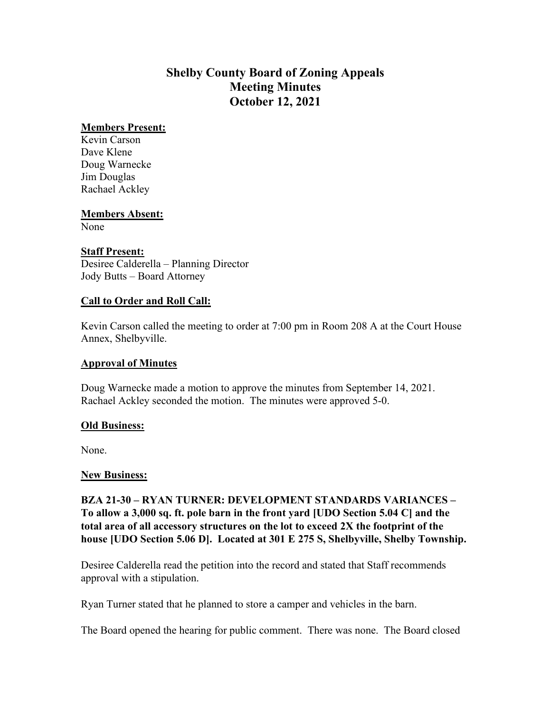# **Shelby County Board of Zoning Appeals Meeting Minutes October 12, 2021**

#### **Members Present:**

Kevin Carson Dave Klene Doug Warnecke Jim Douglas Rachael Ackley

#### **Members Absent:**

None

## **Staff Present:**

Desiree Calderella – Planning Director Jody Butts – Board Attorney

#### **Call to Order and Roll Call:**

Kevin Carson called the meeting to order at 7:00 pm in Room 208 A at the Court House Annex, Shelbyville.

#### **Approval of Minutes**

Doug Warnecke made a motion to approve the minutes from September 14, 2021. Rachael Ackley seconded the motion. The minutes were approved 5-0.

#### **Old Business:**

None.

## **New Business:**

**BZA 21-30 – RYAN TURNER: DEVELOPMENT STANDARDS VARIANCES – To allow a 3,000 sq. ft. pole barn in the front yard [UDO Section 5.04 C] and the total area of all accessory structures on the lot to exceed 2X the footprint of the house [UDO Section 5.06 D]. Located at 301 E 275 S, Shelbyville, Shelby Township.**

Desiree Calderella read the petition into the record and stated that Staff recommends approval with a stipulation.

Ryan Turner stated that he planned to store a camper and vehicles in the barn.

The Board opened the hearing for public comment. There was none. The Board closed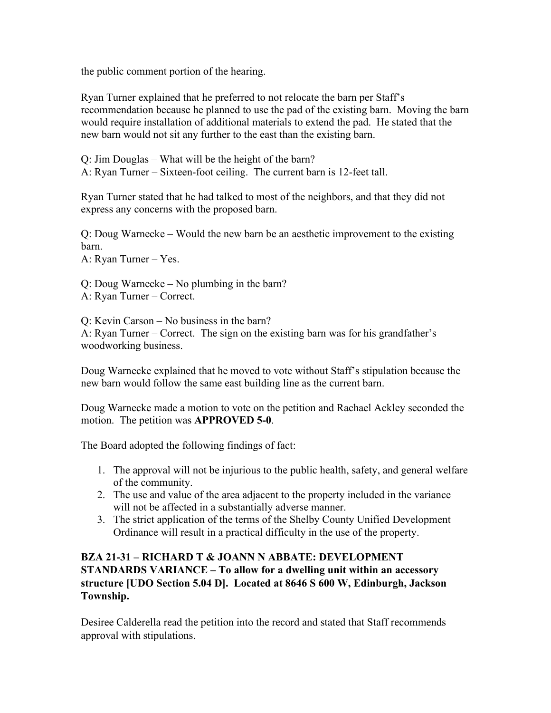the public comment portion of the hearing.

Ryan Turner explained that he preferred to not relocate the barn per Staff's recommendation because he planned to use the pad of the existing barn. Moving the barn would require installation of additional materials to extend the pad. He stated that the new barn would not sit any further to the east than the existing barn.

Q: Jim Douglas – What will be the height of the barn? A: Ryan Turner – Sixteen-foot ceiling. The current barn is 12-feet tall.

Ryan Turner stated that he had talked to most of the neighbors, and that they did not express any concerns with the proposed barn.

Q: Doug Warnecke – Would the new barn be an aesthetic improvement to the existing barn.

A: Ryan Turner – Yes.

Q: Doug Warnecke – No plumbing in the barn? A: Ryan Turner – Correct.

Q: Kevin Carson – No business in the barn? A: Ryan Turner – Correct. The sign on the existing barn was for his grandfather's woodworking business.

Doug Warnecke explained that he moved to vote without Staff's stipulation because the new barn would follow the same east building line as the current barn.

Doug Warnecke made a motion to vote on the petition and Rachael Ackley seconded the motion. The petition was **APPROVED 5-0**.

The Board adopted the following findings of fact:

- 1. The approval will not be injurious to the public health, safety, and general welfare of the community.
- 2. The use and value of the area adjacent to the property included in the variance will not be affected in a substantially adverse manner.
- 3. The strict application of the terms of the Shelby County Unified Development Ordinance will result in a practical difficulty in the use of the property.

## **BZA 21-31 – RICHARD T & JOANN N ABBATE: DEVELOPMENT STANDARDS VARIANCE – To allow for a dwelling unit within an accessory structure [UDO Section 5.04 D]. Located at 8646 S 600 W, Edinburgh, Jackson Township.**

Desiree Calderella read the petition into the record and stated that Staff recommends approval with stipulations.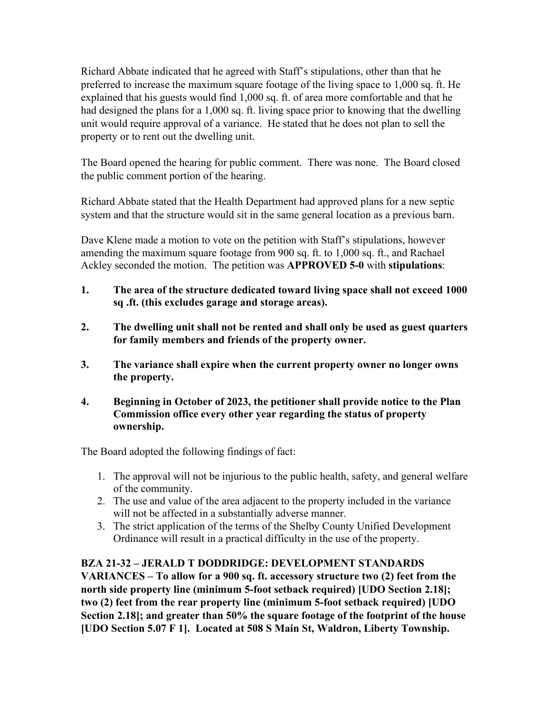Richard Abbate indicated that he agreed with Staff's stipulations, other than that he preferred to increase the maximum square footage of the living space to 1,000 sq. ft. He explained that his guests would find 1,000 sq. ft. of area more comfortable and that he had designed the plans for a 1,000 sq. ft. living space prior to knowing that the dwelling unit would require approval of a variance. He stated that he does not plan to sell the property or to rent out the dwelling unit.

The Board opened the hearing for public comment. There was none. The Board closed the public comment portion of the hearing.

Richard Abbate stated that the Health Department had approved plans for a new septic system and that the structure would sit in the same general location as a previous barn.

Dave Klene made a motion to vote on the petition with Staff's stipulations, however amending the maximum square footage from 900 sq. ft. to 1,000 sq. ft., and Rachael Ackley seconded the motion. The petition was **APPROVED 5-0** with **stipulations**:

- **1. The area of the structure dedicated toward living space shall not exceed 1000 sq .ft. (this excludes garage and storage areas).**
- **2. The dwelling unit shall not be rented and shall only be used as guest quarters for family members and friends of the property owner.**
- **3. The variance shall expire when the current property owner no longer owns the property.**
- **4. Beginning in October of 2023, the petitioner shall provide notice to the Plan Commission office every other year regarding the status of property ownership.**

The Board adopted the following findings of fact:

- 1. The approval will not be injurious to the public health, safety, and general welfare of the community.
- 2. The use and value of the area adjacent to the property included in the variance will not be affected in a substantially adverse manner.
- 3. The strict application of the terms of the Shelby County Unified Development Ordinance will result in a practical difficulty in the use of the property.

## **BZA 21-32 – JERALD T DODDRIDGE: DEVELOPMENT STANDARDS**

**VARIANCES – To allow for a 900 sq. ft. accessory structure two (2) feet from the north side property line (minimum 5-foot setback required) [UDO Section 2.18]; two (2) feet from the rear property line (minimum 5-foot setback required) [UDO Section 2.18]; and greater than 50% the square footage of the footprint of the house [UDO Section 5.07 F 1]. Located at 508 S Main St, Waldron, Liberty Township.**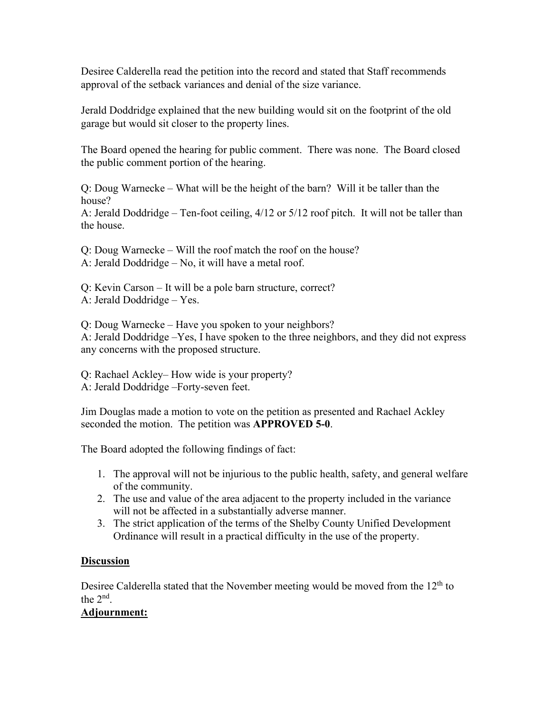Desiree Calderella read the petition into the record and stated that Staff recommends approval of the setback variances and denial of the size variance.

Jerald Doddridge explained that the new building would sit on the footprint of the old garage but would sit closer to the property lines.

The Board opened the hearing for public comment. There was none. The Board closed the public comment portion of the hearing.

Q: Doug Warnecke – What will be the height of the barn? Will it be taller than the house?

A: Jerald Doddridge – Ten-foot ceiling, 4/12 or 5/12 roof pitch. It will not be taller than the house.

Q: Doug Warnecke – Will the roof match the roof on the house? A: Jerald Doddridge – No, it will have a metal roof.

Q: Kevin Carson – It will be a pole barn structure, correct? A: Jerald Doddridge – Yes.

Q: Doug Warnecke – Have you spoken to your neighbors? A: Jerald Doddridge –Yes, I have spoken to the three neighbors, and they did not express any concerns with the proposed structure.

Q: Rachael Ackley– How wide is your property? A: Jerald Doddridge –Forty-seven feet.

Jim Douglas made a motion to vote on the petition as presented and Rachael Ackley seconded the motion. The petition was **APPROVED 5-0**.

The Board adopted the following findings of fact:

- 1. The approval will not be injurious to the public health, safety, and general welfare of the community.
- 2. The use and value of the area adjacent to the property included in the variance will not be affected in a substantially adverse manner.
- 3. The strict application of the terms of the Shelby County Unified Development Ordinance will result in a practical difficulty in the use of the property.

## **Discussion**

Desiree Calderella stated that the November meeting would be moved from the  $12<sup>th</sup>$  to the  $2<sup>nd</sup>$ .

## **Adjournment:**